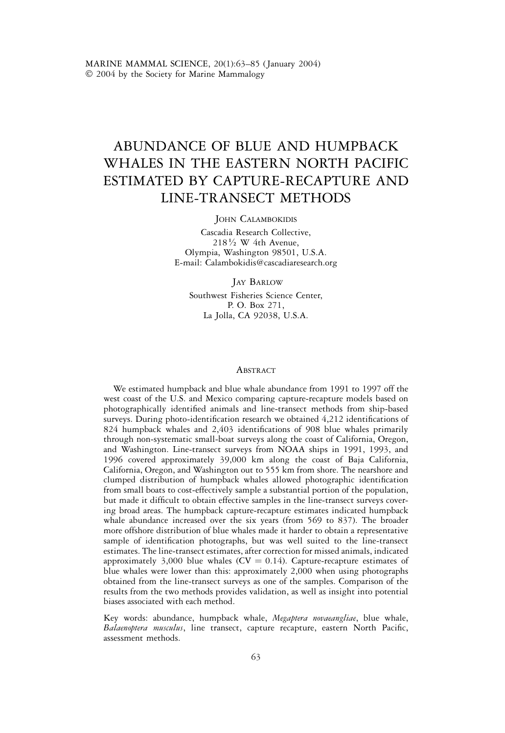# ABUNDANCE OF BLUE AND HUMPBACK WHALES IN THE EASTERN NORTH PACIFIC ESTIMATED BY CAPTURE-RECAPTURE AND LINE-TRANSECT METHODS

JOHN CALAMBOKIDIS

Cascadia Research Collective,  $218\frac{1}{2}$  W 4th Avenue. Olympia, Washington 98501, U.S.A. E-mail: Calambokidis@cascadiaresearch.org

JAY BARLOW Southwest Fisheries Science Center, P. O. Box 271, La Jolla, CA 92038, U.S.A.

### **ABSTRACT**

We estimated humpback and blue whale abundance from 1991 to 1997 off the west coast of the U.S. and Mexico comparing capture-recapture models based on photographically identified animals and line-transect methods from ship-based surveys. During photo-identification research we obtained 4,212 identifications of 824 humpback whales and 2,403 identifications of 908 blue whales primarily through non-systematic small-boat surveys along the coast of California, Oregon, and Washington. Line-transect surveys from NOAA ships in 1991, 1993, and 1996 covered approximately 39,000 km along the coast of Baja California, California, Oregon, and Washington out to 555 km from shore. The nearshore and clumped distribution of humpback whales allowed photographic identification from small boats to cost-effectively sample a substantial portion of the population, but made it difficult to obtain effective samples in the line-transect surveys covering broad areas. The humpback capture-recapture estimates indicated humpback whale abundance increased over the six years (from 569 to 837). The broader more offshore distribution of blue whales made it harder to obtain a representative sample of identification photographs, but was well suited to the line-transect estimates. The line-transect estimates, after correction for missed animals, indicated approximately 3,000 blue whales ( $CV = 0.14$ ). Capture-recapture estimates of blue whales were lower than this: approximately 2,000 when using photographs obtained from the line-transect surveys as one of the samples. Comparison of the results from the two methods provides validation, as well as insight into potential biases associated with each method.

Key words: abundance, humpback whale, Megaptera novaeangliae, blue whale, Balaenoptera musculus, line transect, capture recapture, eastern North Pacific, assessment methods.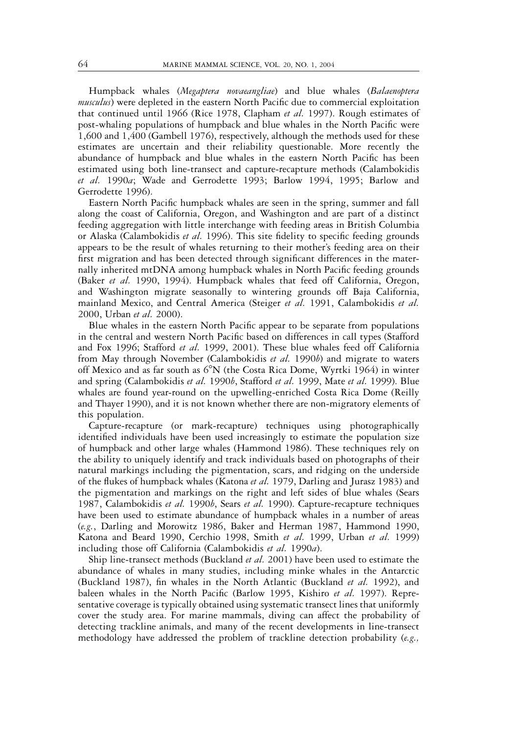Humpback whales (Megaptera novaeangliae) and blue whales (Balaenoptera musculus) were depleted in the eastern North Pacific due to commercial exploitation that continued until 1966 (Rice 1978, Clapham et al. 1997). Rough estimates of post-whaling populations of humpback and blue whales in the North Pacific were 1,600 and 1,400 (Gambell 1976), respectively, although the methods used for these estimates are uncertain and their reliability questionable. More recently the abundance of humpback and blue whales in the eastern North Pacific has been estimated using both line-transect and capture-recapture methods (Calambokidis et al. 1990a; Wade and Gerrodette 1993; Barlow 1994, 1995; Barlow and Gerrodette 1996).

Eastern North Pacific humpback whales are seen in the spring, summer and fall along the coast of California, Oregon, and Washington and are part of a distinct feeding aggregation with little interchange with feeding areas in British Columbia or Alaska (Calambokidis et al. 1996). This site fidelity to specific feeding grounds appears to be the result of whales returning to their mother's feeding area on their first migration and has been detected through significant differences in the maternally inherited mtDNA among humpback whales in North Pacific feeding grounds (Baker et al. 1990, 1994). Humpback whales that feed off California, Oregon, and Washington migrate seasonally to wintering grounds off Baja California, mainland Mexico, and Central America (Steiger et al. 1991, Calambokidis et al. 2000, Urban et al. 2000).

Blue whales in the eastern North Pacific appear to be separate from populations in the central and western North Pacific based on differences in call types (Stafford and Fox 1996; Stafford et al. 1999, 2001). These blue whales feed off California from May through November (Calambokidis et al. 1990b) and migrate to waters off Mexico and as far south as  $6^\circ N$  (the Costa Rica Dome, Wyrtki 1964) in winter and spring (Calambokidis et al. 1990b, Stafford et al. 1999, Mate et al. 1999). Blue whales are found year-round on the upwelling-enriched Costa Rica Dome (Reilly and Thayer 1990), and it is not known whether there are non-migratory elements of this population.

Capture-recapture (or mark-recapture) techniques using photographically identified individuals have been used increasingly to estimate the population size of humpback and other large whales (Hammond 1986). These techniques rely on the ability to uniquely identify and track individuals based on photographs of their natural markings including the pigmentation, scars, and ridging on the underside of the flukes of humpback whales (Katona et al. 1979, Darling and Jurasz 1983) and the pigmentation and markings on the right and left sides of blue whales (Sears 1987, Calambokidis et al. 1990b, Sears et al. 1990). Capture-recapture techniques have been used to estimate abundance of humpback whales in a number of areas (e.g., Darling and Morowitz 1986, Baker and Herman 1987, Hammond 1990, Katona and Beard 1990, Cerchio 1998, Smith et al. 1999, Urban et al. 1999) including those off California (Calambokidis et al. 1990a).

Ship line-transect methods (Buckland *et al.* 2001) have been used to estimate the abundance of whales in many studies, including minke whales in the Antarctic (Buckland 1987), fin whales in the North Atlantic (Buckland et al. 1992), and baleen whales in the North Pacific (Barlow 1995, Kishiro et al. 1997). Representative coverage is typically obtained using systematic transect lines that uniformly cover the study area. For marine mammals, diving can affect the probability of detecting trackline animals, and many of the recent developments in line-transect methodology have addressed the problem of trackline detection probability  $(e.g.,)$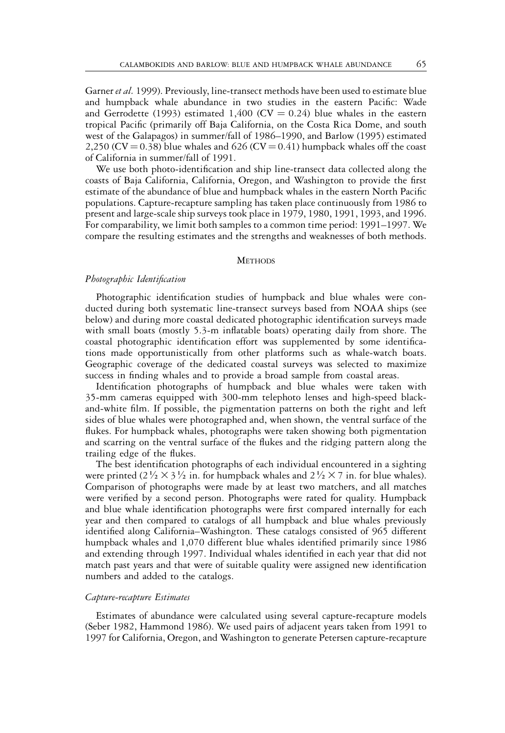Garner *et al.* 1999). Previously, line-transect methods have been used to estimate blue and humpback whale abundance in two studies in the eastern Pacific: Wade and Gerrodette (1993) estimated 1,400 (CV = 0.24) blue whales in the eastern tropical Pacific (primarily off Baja California, on the Costa Rica Dome, and south west of the Galapagos) in summer/fall of 1986–1990, and Barlow (1995) estimated 2,250 (CV = 0.38) blue whales and 626 (CV = 0.41) humpback whales off the coast of California in summer/fall of 1991.

We use both photo-identification and ship line-transect data collected along the coasts of Baja California, California, Oregon, and Washington to provide the first estimate of the abundance of blue and humpback whales in the eastern North Pacific populations. Capture-recapture sampling has taken place continuously from 1986 to present and large-scale ship surveys took place in 1979, 1980, 1991, 1993, and 1996. For comparability, we limit both samples to a common time period: 1991–1997. We compare the resulting estimates and the strengths and weaknesses of both methods.

## **METHODS**

## Photographic Identification

Photographic identification studies of humpback and blue whales were conducted during both systematic line-transect surveys based from NOAA ships (see below) and during more coastal dedicated photographic identification surveys made with small boats (mostly 5.3-m inflatable boats) operating daily from shore. The coastal photographic identification effort was supplemented by some identifications made opportunistically from other platforms such as whale-watch boats. Geographic coverage of the dedicated coastal surveys was selected to maximize success in finding whales and to provide a broad sample from coastal areas.

Identification photographs of humpback and blue whales were taken with 35-mm cameras equipped with 300-mm telephoto lenses and high-speed blackand-white film. If possible, the pigmentation patterns on both the right and left sides of blue whales were photographed and, when shown, the ventral surface of the flukes. For humpback whales, photographs were taken showing both pigmentation and scarring on the ventral surface of the flukes and the ridging pattern along the trailing edge of the flukes.

The best identification photographs of each individual encountered in a sighting were printed (2½ $\times$ 3½ in. for humpback whales and 2½ $\times$ 7 in. for blue whales). Comparison of photographs were made by at least two matchers, and all matches were verified by a second person. Photographs were rated for quality. Humpback and blue whale identification photographs were first compared internally for each year and then compared to catalogs of all humpback and blue whales previously identified along California–Washington. These catalogs consisted of 965 different humpback whales and 1,070 different blue whales identified primarily since 1986 and extending through 1997. Individual whales identified in each year that did not match past years and that were of suitable quality were assigned new identification numbers and added to the catalogs.

## Capture-recapture Estimates

Estimates of abundance were calculated using several capture-recapture models (Seber 1982, Hammond 1986). We used pairs of adjacent years taken from 1991 to 1997 for California, Oregon, and Washington to generate Petersen capture-recapture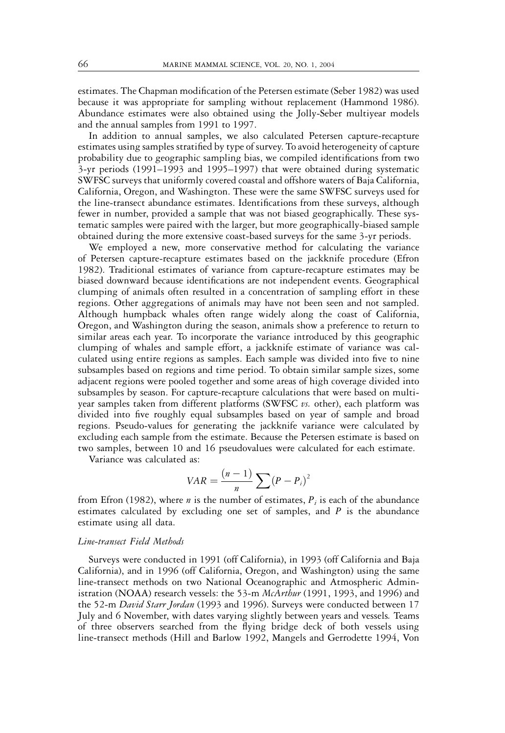estimates. The Chapman modification of the Petersen estimate (Seber 1982) was used because it was appropriate for sampling without replacement (Hammond 1986). Abundance estimates were also obtained using the Jolly-Seber multiyear models and the annual samples from 1991 to 1997.

In addition to annual samples, we also calculated Petersen capture-recapture estimates using samples stratified by type of survey. To avoid heterogeneity of capture probability due to geographic sampling bias, we compiled identifications from two 3-yr periods (1991–1993 and 1995–1997) that were obtained during systematic SWFSC surveys that uniformly covered coastal and offshore waters of Baja California, California, Oregon, and Washington. These were the same SWFSC surveys used for the line-transect abundance estimates. Identifications from these surveys, although fewer in number, provided a sample that was not biased geographically. These systematic samples were paired with the larger, but more geographically-biased sample obtained during the more extensive coast-based surveys for the same 3-yr periods.

We employed a new, more conservative method for calculating the variance of Petersen capture-recapture estimates based on the jackknife procedure (Efron 1982). Traditional estimates of variance from capture-recapture estimates may be biased downward because identifications are not independent events. Geographical clumping of animals often resulted in a concentration of sampling effort in these regions. Other aggregations of animals may have not been seen and not sampled. Although humpback whales often range widely along the coast of California, Oregon, and Washington during the season, animals show a preference to return to similar areas each year. To incorporate the variance introduced by this geographic clumping of whales and sample effort, a jackknife estimate of variance was calculated using entire regions as samples. Each sample was divided into five to nine subsamples based on regions and time period. To obtain similar sample sizes, some adjacent regions were pooled together and some areas of high coverage divided into subsamples by season. For capture-recapture calculations that were based on multiyear samples taken from different platforms (SWFSC vs. other), each platform was divided into five roughly equal subsamples based on year of sample and broad regions. Pseudo-values for generating the jackknife variance were calculated by excluding each sample from the estimate. Because the Petersen estimate is based on two samples, between 10 and 16 pseudovalues were calculated for each estimate.

Variance was calculated as:

$$
VAR = \frac{(n-1)}{n} \sum (P - P_i)^2
$$

from Efron (1982), where *n* is the number of estimates,  $P_i$  is each of the abundance estimates calculated by excluding one set of samples, and  $P$  is the abundance estimate using all data.

## Line-transect Field Methods

Surveys were conducted in 1991 (off California), in 1993 (off California and Baja California), and in 1996 (off California, Oregon, and Washington) using the same line-transect methods on two National Oceanographic and Atmospheric Administration (NOAA) research vessels: the 53-m McArthur (1991, 1993, and 1996) and the 52-m David Starr Jordan (1993 and 1996). Surveys were conducted between 17 July and 6 November, with dates varying slightly between years and vessels. Teams of three observers searched from the flying bridge deck of both vessels using line-transect methods (Hill and Barlow 1992, Mangels and Gerrodette 1994, Von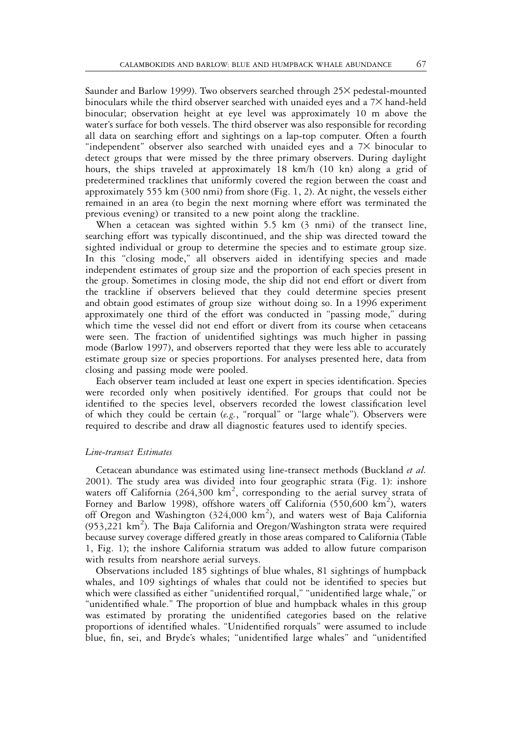Saunder and Barlow 1999). Two observers searched through  $25\times$  pedestal-mounted binoculars while the third observer searched with unaided eyes and a  $7\times$  hand-held binocular; observation height at eye level was approximately 10 m above the water's surface for both vessels. The third observer was also responsible for recording all data on searching effort and sightings on a lap-top computer. Often a fourth "independent" observer also searched with unaided eyes and a  $7\times$  binocular to detect groups that were missed by the three primary observers. During daylight hours, the ships traveled at approximately 18 km/h (10 kn) along a grid of predetermined tracklines that uniformly covered the region between the coast and approximately 555 km (300 nmi) from shore (Fig. 1, 2). At night, the vessels either remained in an area (to begin the next morning where effort was terminated the previous evening) or transited to a new point along the trackline.

When a cetacean was sighted within 5.5 km (3 nmi) of the transect line, searching effort was typically discontinued, and the ship was directed toward the sighted individual or group to determine the species and to estimate group size. In this ''closing mode,'' all observers aided in identifying species and made independent estimates of group size and the proportion of each species present in the group. Sometimes in closing mode, the ship did not end effort or divert from the trackline if observers believed that they could determine species present and obtain good estimates of group size without doing so. In a 1996 experiment approximately one third of the effort was conducted in ''passing mode,'' during which time the vessel did not end effort or divert from its course when cetaceans were seen. The fraction of unidentified sightings was much higher in passing mode (Barlow 1997), and observers reported that they were less able to accurately estimate group size or species proportions. For analyses presented here, data from closing and passing mode were pooled.

Each observer team included at least one expert in species identification. Species were recorded only when positively identified. For groups that could not be identified to the species level, observers recorded the lowest classification level of which they could be certain (e.g., "rorqual" or "large whale"). Observers were required to describe and draw all diagnostic features used to identify species.

## Line-transect Estimates

Cetacean abundance was estimated using line-transect methods (Buckland et al. 2001). The study area was divided into four geographic strata (Fig. 1): inshore waters off California  $(264,300 \text{ km}^2, \text{ corresponding to the aerial survey strata of})$ Forney and Barlow 1998), offshore waters off California (550,600 km<sup>2</sup>), waters off Oregon and Washington (324,000 km<sup>2</sup>), and waters west of Baja California  $(953,221 \text{ km}^2)$ . The Baja California and Oregon/Washington strata were required because survey coverage differed greatly in those areas compared to California (Table 1, Fig. 1); the inshore California stratum was added to allow future comparison with results from nearshore aerial surveys.

Observations included 185 sightings of blue whales, 81 sightings of humpback whales, and 109 sightings of whales that could not be identified to species but which were classified as either "unidentified rorqual," "unidentified large whale," or ''unidentified whale.'' The proportion of blue and humpback whales in this group was estimated by prorating the unidentified categories based on the relative proportions of identified whales. ''Unidentified rorquals'' were assumed to include blue, fin, sei, and Bryde's whales; ''unidentified large whales'' and ''unidentified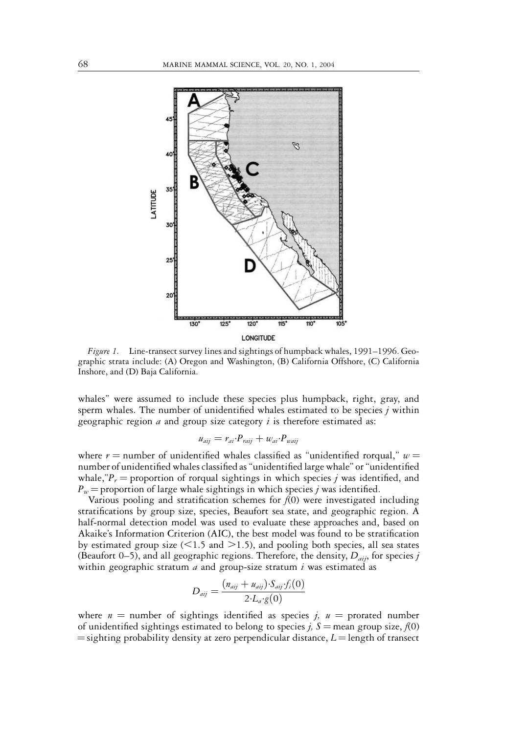

Figure 1. Line-transect survey lines and sightings of humpback whales, 1991–1996. Geographic strata include: (A) Oregon and Washington, (B) California Offshore, (C) California Inshore, and (D) Baja California.

whales'' were assumed to include these species plus humpback, right, gray, and sperm whales. The number of unidentified whales estimated to be species  $j$  within geographic region  $a$  and group size category  $i$  is therefore estimated as:

$$
u_{aij} = r_{ai} \cdot P_{raij} + w_{ai} \cdot P_{waij}
$$

where  $r =$  number of unidentified whales classified as "unidentified rorqual,"  $w =$ number of unidentified whales classified as ''unidentified large whale'' or ''unidentified whale," $P_r$  = proportion of rorqual sightings in which species j was identified, and  $P_w$  = proportion of large whale sightings in which species j was identified.

Various pooling and stratification schemes for  $f(0)$  were investigated including stratifications by group size, species, Beaufort sea state, and geographic region. A half-normal detection model was used to evaluate these approaches and, based on Akaike's Information Criterion (AIC), the best model was found to be stratification by estimated group size ( $\leq$ 1.5 and  $\geq$ 1.5), and pooling both species, all sea states (Beaufort 0–5), and all geographic regions. Therefore, the density,  $D_{\alpha ij}$ , for species j within geographic stratum  $a$  and group-size stratum  $i$  was estimated as

$$
D_{aij} = \frac{(n_{aij} + u_{aij}) \cdot S_{aij} \cdot f_i(0)}{2 \cdot L_a \cdot g(0)}
$$

where  $n =$  number of sightings identified as species j,  $u =$  prorated number of unidentified sightings estimated to belong to species *j*,  $S =$  mean group size,  $f(0)$  $=$  sighting probability density at zero perpendicular distance,  $L =$  length of transect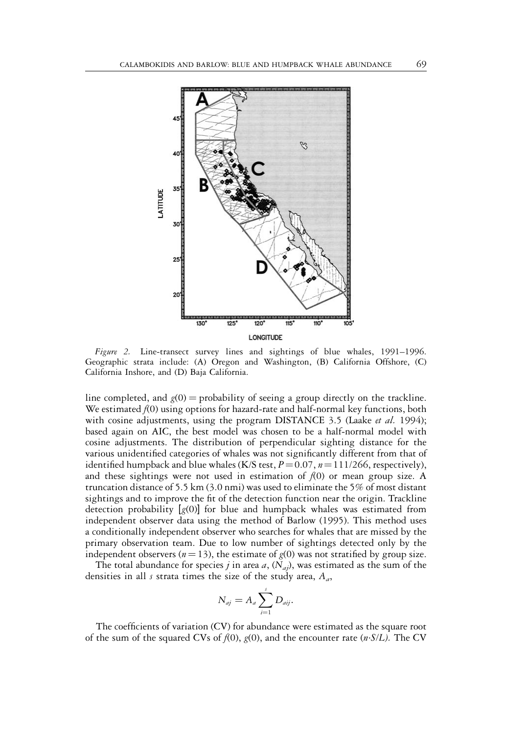

Figure 2. Line-transect survey lines and sightings of blue whales, 1991–1996. Geographic strata include: (A) Oregon and Washington, (B) California Offshore, (C) California Inshore, and (D) Baja California.

line completed, and  $g(0)$  = probability of seeing a group directly on the trackline. We estimated  $f(0)$  using options for hazard-rate and half-normal key functions, both with cosine adjustments, using the program DISTANCE 3.5 (Laake et al. 1994); based again on AIC, the best model was chosen to be a half-normal model with cosine adjustments. The distribution of perpendicular sighting distance for the various unidentified categories of whales was not significantly different from that of identified humpback and blue whales (K/S test,  $P = 0.07$ ,  $n = 111/266$ , respectively), and these sightings were not used in estimation of  $f(0)$  or mean group size. A truncation distance of 5.5 km (3.0 nmi) was used to eliminate the 5% of most distant sightings and to improve the fit of the detection function near the origin. Trackline detection probability  $[g(0)]$  for blue and humpback whales was estimated from independent observer data using the method of Barlow (1995). This method uses a conditionally independent observer who searches for whales that are missed by the primary observation team. Due to low number of sightings detected only by the independent observers ( $n=13$ ), the estimate of  $g(0)$  was not stratified by group size.

The total abundance for species j in area a,  $(N_{ai})$ , was estimated as the sum of the densities in all s strata times the size of the study area,  $A_a$ ,

$$
N_{aj}=A_a\sum_{i=1}^sD_{aij}.
$$

The coefficients of variation (CV) for abundance were estimated as the square root of the sum of the squared CVs of  $f(0)$ ,  $g(0)$ , and the encounter rate  $(n \cdot S/L)$ . The CV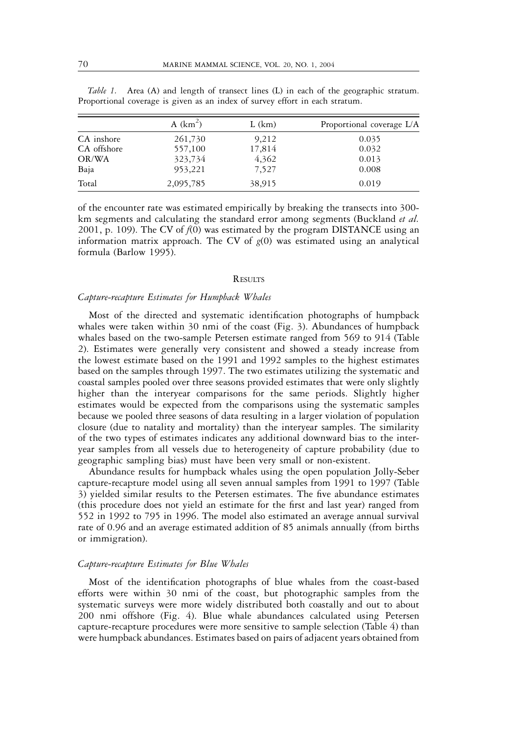|             | $A(km^2)$ | $L$ (km) | Proportional coverage L/A |
|-------------|-----------|----------|---------------------------|
| CA inshore  | 261,730   | 9,212    | 0.035                     |
| CA offshore | 557,100   | 17,814   | 0.032                     |
| OR/WA       | 323,734   | 4,362    | 0.013                     |
| Baja        | 953,221   | 7,527    | 0.008                     |
| Total       | 2,095,785 | 38,915   | 0.019                     |

Table 1. Area (A) and length of transect lines (L) in each of the geographic stratum. Proportional coverage is given as an index of survey effort in each stratum.

of the encounter rate was estimated empirically by breaking the transects into 300 km segments and calculating the standard error among segments (Buckland et al. 2001, p. 109). The CV of  $f(0)$  was estimated by the program DISTANCE using an information matrix approach. The CV of  $g(0)$  was estimated using an analytical formula (Barlow 1995).

## **RESULTS**

## Capture-recapture Estimates for Humpback Whales

Most of the directed and systematic identification photographs of humpback whales were taken within 30 nmi of the coast (Fig. 3). Abundances of humpback whales based on the two-sample Petersen estimate ranged from 569 to 914 (Table 2). Estimates were generally very consistent and showed a steady increase from the lowest estimate based on the 1991 and 1992 samples to the highest estimates based on the samples through 1997. The two estimates utilizing the systematic and coastal samples pooled over three seasons provided estimates that were only slightly higher than the interyear comparisons for the same periods. Slightly higher estimates would be expected from the comparisons using the systematic samples because we pooled three seasons of data resulting in a larger violation of population closure (due to natality and mortality) than the interyear samples. The similarity of the two types of estimates indicates any additional downward bias to the interyear samples from all vessels due to heterogeneity of capture probability (due to geographic sampling bias) must have been very small or non-existent.

Abundance results for humpback whales using the open population Jolly-Seber capture-recapture model using all seven annual samples from 1991 to 1997 (Table 3) yielded similar results to the Petersen estimates. The five abundance estimates (this procedure does not yield an estimate for the first and last year) ranged from 552 in 1992 to 795 in 1996. The model also estimated an average annual survival rate of 0.96 and an average estimated addition of 85 animals annually (from births or immigration).

## Capture-recapture Estimates for Blue Whales

Most of the identification photographs of blue whales from the coast-based efforts were within 30 nmi of the coast, but photographic samples from the systematic surveys were more widely distributed both coastally and out to about 200 nmi offshore (Fig. 4). Blue whale abundances calculated using Petersen capture-recapture procedures were more sensitive to sample selection (Table 4) than were humpback abundances. Estimates based on pairs of adjacent years obtained from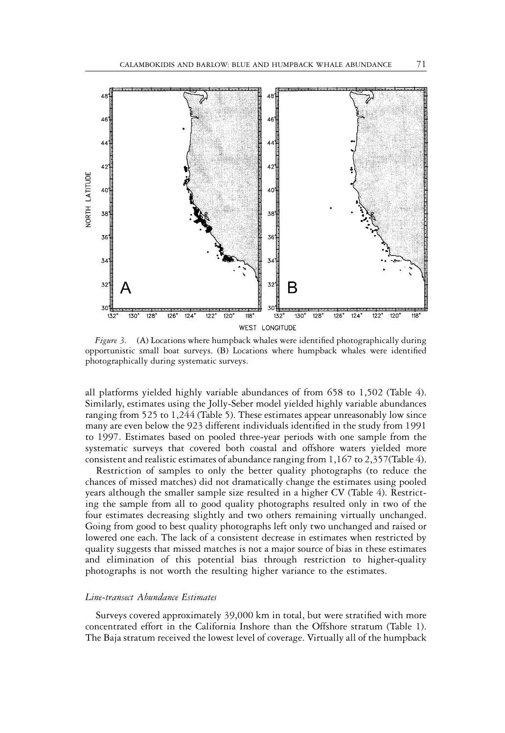

Figure 3. (A) Locations where humpback whales were identified photographically during opportunistic small boat surveys. (B) Locations where humpback whales were identified photographically during systematic surveys.

all platforms yielded highly variable abundances of from 658 to 1,502 (Table 4). Similarly, estimates using the Jolly-Seber model yielded highly variable abundances ranging from 525 to 1,244 (Table 5). These estimates appear unreasonably low since many are even below the 923 different individuals identified in the study from 1991 to 1997. Estimates based on pooled three-year periods with one sample from the systematic surveys that covered both coastal and offshore waters yielded more consistent and realistic estimates of abundance ranging from 1,167 to 2,357(Table 4).

Restriction of samples to only the better quality photographs (to reduce the chances of missed matches) did not dramatically change the estimates using pooled years although the smaller sample size resulted in a higher CV (Table 4). Restricting the sample from all to good quality photographs resulted only in two of the four estimates decreasing slightly and two others remaining virtually unchanged. Going from good to best quality photographs left only two unchanged and raised or lowered one each. The lack of a consistent decrease in estimates when restricted by quality suggests that missed matches is not a major source of bias in these estimates and elimination of this potential bias through restriction to higher-quality photographs is not worth the resulting higher variance to the estimates.

# Line-transect Abundance Estimates

Surveys covered approximately 39,000 km in total, but were stratified with more concentrated effort in the California Inshore than the Offshore stratum (Table 1). The Baja stratum received the lowest level of coverage. Virtually all of the humpback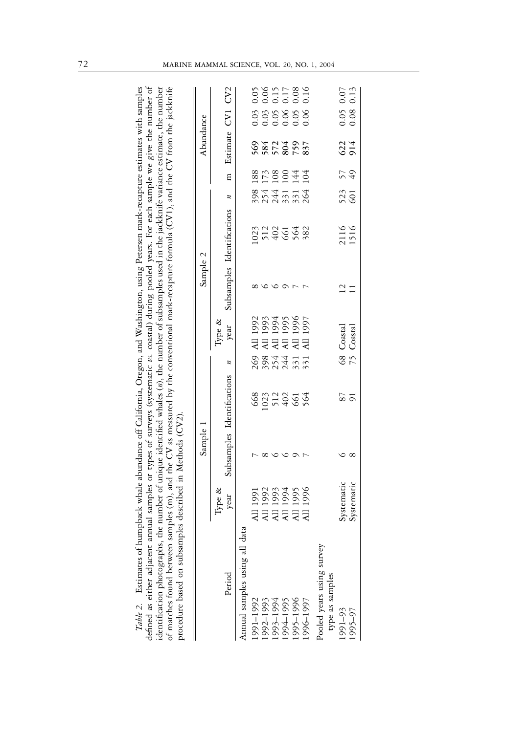| procedure based on subsamples described in Methods (CV2). |                   |               |                            |                  |                                                              |                |                            |                                   |                    |                                                               |      |
|-----------------------------------------------------------|-------------------|---------------|----------------------------|------------------|--------------------------------------------------------------|----------------|----------------------------|-----------------------------------|--------------------|---------------------------------------------------------------|------|
|                                                           |                   | Sample 1      |                            |                  |                                                              | Sample 2       |                            |                                   | Abundance          |                                                               |      |
| Period                                                    | Type $\&$<br>year |               | Subsamples Identifications | $\boldsymbol{z}$ | Type &<br>year                                               |                | Subsamples Identifications | Ξ<br>$\boldsymbol{z}$             |                    | Estimate CV1 CV2                                              |      |
| Annual samples using all data                             |                   |               |                            |                  |                                                              |                |                            |                                   |                    |                                                               |      |
| 1991-1992                                                 | All 1991          |               |                            |                  |                                                              |                |                            | 188                               |                    |                                                               |      |
| 1992-1993                                                 | All 1992          |               | 683<br>0234654             |                  | 269 All 1992<br>398 All 1993<br>254 All 1994<br>244 All 1995 |                | 0226482<br>0246648         | 8<br>8 5 4 5 5 7<br>8 8 7 9 8 9 9 | 5823555<br>5878555 | 8<br>8<br>8<br>8<br>8<br>8<br>8<br>8<br>8<br>8<br>8<br>8<br>8 |      |
| 1993-1994                                                 | All 1993          |               |                            |                  |                                                              |                |                            | 173                               |                    |                                                               |      |
| 1994-1995                                                 | All 1994          |               |                            |                  |                                                              |                |                            | 1001                              |                    |                                                               |      |
| 1995-1996                                                 | All 1995          | $\sim$ $\sim$ |                            | 331              | All 1996                                                     |                |                            |                                   |                    |                                                               |      |
| 1996-1997                                                 | All 1996          |               |                            | 331              | All 1997                                                     |                |                            | 104                               |                    |                                                               |      |
| Pooled years using survey<br>type as samples              |                   |               |                            |                  |                                                              |                |                            |                                   |                    |                                                               |      |
| 1991-93                                                   | Systematic        |               | 87                         |                  | 68 Coastal                                                   | $\overline{2}$ |                            |                                   | 57                 |                                                               | 0.07 |
| 1995-97                                                   | Systematic        |               | $\overline{5}$             |                  | 75 Coastal                                                   | 급              | 2116                       | 523                               | 622<br>914<br>49   | $0.05$<br>0.08                                                | 0.13 |

defined as either adjacent annual samples or types of surveys (systematic vs. coastal) during pooled years. For each sample we give the number of Estimates of humpback whale abundance off California, Oregon, and Washington, using Petersen mark-recapture estimates with samples identification photographs, the number of unique identified whales (n), the number of subsamples used in the jackknife variance estimate, the number defined as either adjacent annual samples or types of surveys (systematic vs. coastal) during pooled years. For each sample we give the number of identification photographs, the number of unique identified whales (n), the number of subsamples used in the jackknife variance estimate, the number Table 2. Estimates of humpback whale abundance off California, Oregon, and Washington, using Petersen mark-recapture estimates with samples Table 2.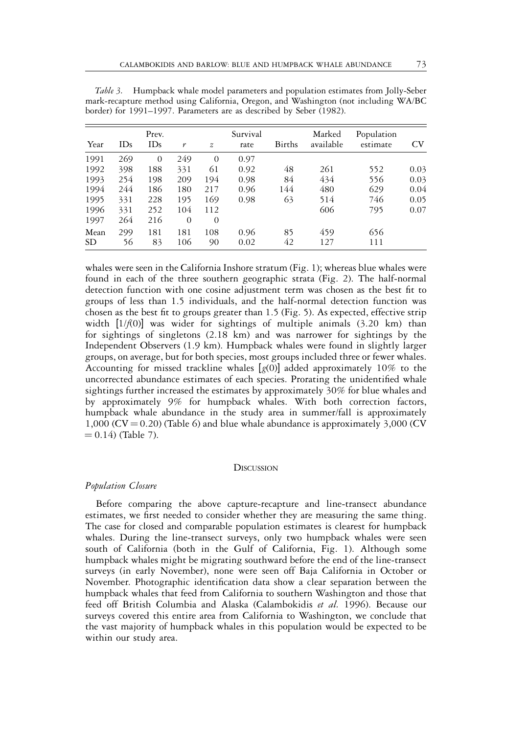| Year | IDs | Prev.<br>IDs | r        | $\boldsymbol{z}$ | Survival<br>rate | Births | Marked<br>available | Population<br>estimate | CV   |
|------|-----|--------------|----------|------------------|------------------|--------|---------------------|------------------------|------|
| 1991 | 269 | $\theta$     | 249      | $\theta$         | 0.97             |        |                     |                        |      |
| 1992 | 398 | 188          | 331      | 61               | 0.92             | 48     | 261                 | 552                    | 0.03 |
| 1993 | 254 | 198          | 209      | 194              | 0.98             | 84     | 434                 | 556                    | 0.03 |
| 1994 | 244 | 186          | 180      | 217              | 0.96             | 144    | 480                 | 629                    | 0.04 |
| 1995 | 331 | 228          | 195      | 169              | 0.98             | 63     | 514                 | 746                    | 0.05 |
| 1996 | 331 | 252          | 104      | 112              |                  |        | 606                 | 795                    | 0.07 |
| 1997 | 264 | 216          | $\theta$ | $\theta$         |                  |        |                     |                        |      |
| Mean | 299 | 181          | 181      | 108              | 0.96             | 85     | 459                 | 656                    |      |
| SD.  | 56  | 83           | 106      | 90               | 0.02             | 42     | 127                 | 111                    |      |

Table 3. Humpback whale model parameters and population estimates from Jolly-Seber mark-recapture method using California, Oregon, and Washington (not including WA/BC border) for 1991–1997. Parameters are as described by Seber (1982).

whales were seen in the California Inshore stratum (Fig. 1); whereas blue whales were found in each of the three southern geographic strata (Fig. 2). The half-normal detection function with one cosine adjustment term was chosen as the best fit to groups of less than 1.5 individuals, and the half-normal detection function was chosen as the best fit to groups greater than 1.5 (Fig. 5). As expected, effective strip width  $[1/f(0)]$  was wider for sightings of multiple animals (3.20 km) than for sightings of singletons (2.18 km) and was narrower for sightings by the Independent Observers (1.9 km). Humpback whales were found in slightly larger groups, on average, but for both species, most groups included three or fewer whales. Accounting for missed trackline whales  $[g(0)]$  added approximately 10% to the uncorrected abundance estimates of each species. Prorating the unidentified whale sightings further increased the estimates by approximately 30% for blue whales and by approximately 9% for humpback whales. With both correction factors, humpback whale abundance in the study area in summer/fall is approximately 1,000 ( $CV = 0.20$ ) (Table 6) and blue whale abundance is approximately 3,000 (CV)  $= 0.14$ ) (Table 7).

## **DISCUSSION**

# Population Closure

Before comparing the above capture-recapture and line-transect abundance estimates, we first needed to consider whether they are measuring the same thing. The case for closed and comparable population estimates is clearest for humpback whales. During the line-transect surveys, only two humpback whales were seen south of California (both in the Gulf of California, Fig. 1). Although some humpback whales might be migrating southward before the end of the line-transect surveys (in early November), none were seen off Baja California in October or November. Photographic identification data show a clear separation between the humpback whales that feed from California to southern Washington and those that feed off British Columbia and Alaska (Calambokidis et al. 1996). Because our surveys covered this entire area from California to Washington, we conclude that the vast majority of humpback whales in this population would be expected to be within our study area.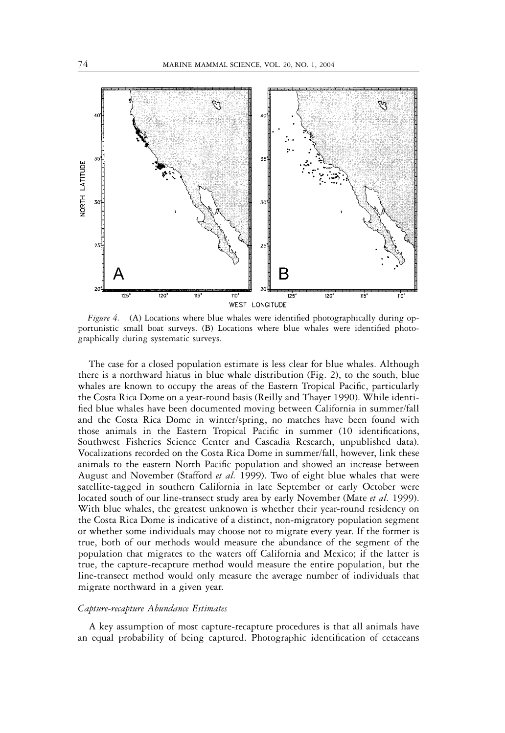

Figure 4. (A) Locations where blue whales were identified photographically during opportunistic small boat surveys. (B) Locations where blue whales were identified photographically during systematic surveys.

The case for a closed population estimate is less clear for blue whales. Although there is a northward hiatus in blue whale distribution (Fig. 2), to the south, blue whales are known to occupy the areas of the Eastern Tropical Pacific, particularly the Costa Rica Dome on a year-round basis (Reilly and Thayer 1990). While identified blue whales have been documented moving between California in summer/fall and the Costa Rica Dome in winter/spring, no matches have been found with those animals in the Eastern Tropical Pacific in summer (10 identifications, Southwest Fisheries Science Center and Cascadia Research, unpublished data). Vocalizations recorded on the Costa Rica Dome in summer/fall, however, link these animals to the eastern North Pacific population and showed an increase between August and November (Stafford et al. 1999). Two of eight blue whales that were satellite-tagged in southern California in late September or early October were located south of our line-transect study area by early November (Mate et al. 1999). With blue whales, the greatest unknown is whether their year-round residency on the Costa Rica Dome is indicative of a distinct, non-migratory population segment or whether some individuals may choose not to migrate every year. If the former is true, both of our methods would measure the abundance of the segment of the population that migrates to the waters off California and Mexico; if the latter is true, the capture-recapture method would measure the entire population, but the line-transect method would only measure the average number of individuals that migrate northward in a given year.

## Capture-recapture Abundance Estimates

A key assumption of most capture-recapture procedures is that all animals have an equal probability of being captured. Photographic identification of cetaceans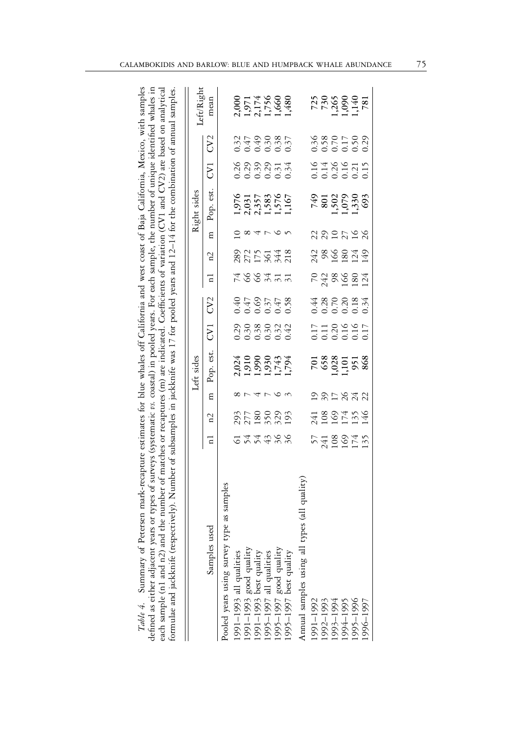| Petersen mark-recapture estimates for blue whales off California and west coast of Baja California, Mexico, with samples | years or types of surveys (systematic vs. coastal) in pooled years. For each sample, the number of unique identified whales in | nd the number of matches or recaptures (m) are indicated. Coefficients of variation (CV1 and CV2) are based on analytical | spectively). Number of subsamples in jackknife was 17 for pooled years and 12-14 for the combination of annual samples. |
|--------------------------------------------------------------------------------------------------------------------------|--------------------------------------------------------------------------------------------------------------------------------|---------------------------------------------------------------------------------------------------------------------------|-------------------------------------------------------------------------------------------------------------------------|
|                                                                                                                          |                                                                                                                                |                                                                                                                           |                                                                                                                         |
|                                                                                                                          |                                                                                                                                |                                                                                                                           |                                                                                                                         |
|                                                                                                                          |                                                                                                                                |                                                                                                                           |                                                                                                                         |
|                                                                                                                          |                                                                                                                                |                                                                                                                           |                                                                                                                         |
|                                                                                                                          |                                                                                                                                |                                                                                                                           |                                                                                                                         |
|                                                                                                                          |                                                                                                                                |                                                                                                                           |                                                                                                                         |
| ummarv of                                                                                                                |                                                                                                                                |                                                                                                                           |                                                                                                                         |
|                                                                                                                          | lefined as either adjacent                                                                                                     |                                                                                                                           | e and jackknife (res.                                                                                                   |
|                                                                                                                          |                                                                                                                                | each sample $(n1$ and $n2)$ are                                                                                           |                                                                                                                         |

|                                                                                                                                 |                         |         |              | Left sides                           |                                  |                            |                         |          |                 | Right sides                               |                                  |                                                | eft/Righ                                  |
|---------------------------------------------------------------------------------------------------------------------------------|-------------------------|---------|--------------|--------------------------------------|----------------------------------|----------------------------|-------------------------|----------|-----------------|-------------------------------------------|----------------------------------|------------------------------------------------|-------------------------------------------|
| used<br>Samples                                                                                                                 | $\overline{\mathbf{a}}$ | n2      | $\mathbf{g}$ | Pop. est.                            | CV <sub>1</sub>                  | CV <sub>2</sub>            | $\overline{\mathbf{a}}$ | $\Omega$ | Ξ               | Pop. est.                                 | 51<br>51                         | CV2                                            | mean                                      |
| type as samples<br>Pooled years using survey                                                                                    |                         |         |              |                                      |                                  |                            |                         |          |                 |                                           |                                  |                                                |                                           |
| 991-1993 all qualities                                                                                                          |                         |         |              |                                      |                                  |                            |                         |          |                 |                                           |                                  |                                                |                                           |
|                                                                                                                                 | ひとひはうな                  | 275922  |              | 2,024<br>0,050,034<br>1,794<br>1,794 | 0.3800042                        | 87<br>140077<br>1970       | <b>766353</b>           |          |                 |                                           | 888853<br>888853                 | 2743282<br>2743282                             |                                           |
|                                                                                                                                 |                         |         |              |                                      |                                  |                            |                         |          |                 |                                           |                                  |                                                |                                           |
|                                                                                                                                 |                         |         |              |                                      |                                  |                            |                         |          |                 |                                           |                                  |                                                |                                           |
|                                                                                                                                 |                         |         | $\sim$ 0     |                                      |                                  |                            |                         |          | $\sim$ 0 $\sim$ |                                           |                                  |                                                |                                           |
| 1991–1993 good quality<br>1991–1993 best quality<br>1995–1997 all qualities<br>1995–1997 good quality<br>1995–1997 best quality |                         |         |              |                                      |                                  |                            |                         | 2252322  |                 | 1,976<br>2,031<br>2,357<br>1,583<br>1,167 |                                  |                                                | 2,000<br>1,971<br>1,756<br>1,480<br>1,480 |
| types (all quality)<br>Annual samples using all                                                                                 |                         |         |              |                                      |                                  |                            |                         |          |                 |                                           |                                  |                                                |                                           |
| 991-1992                                                                                                                        |                         |         |              |                                      |                                  |                            |                         |          |                 |                                           |                                  |                                                |                                           |
|                                                                                                                                 |                         |         |              |                                      |                                  |                            |                         |          |                 |                                           |                                  |                                                |                                           |
| 1992–1993<br>1993–1994<br>1994–1995                                                                                             | 533975                  | 3097534 | りタリひは2       | 701<br>658<br>688<br>1,101<br>988    | 17138<br>0.120<br>0.116<br>0.117 | 44<br>0.28<br>0.20<br>0.34 | 2386024                 | 2889249  | 222238          | وي نور نور<br>1983ء کو                    | 0.146<br>0.146<br>0.0.15<br>0.15 | $0.36$<br>$0.70$<br>$0.50$<br>$0.50$<br>$0.29$ | 725<br>7305<br>1,090<br>1,140<br>781      |
|                                                                                                                                 |                         |         |              |                                      |                                  |                            |                         |          |                 |                                           |                                  |                                                |                                           |
| 995-1996                                                                                                                        |                         |         |              |                                      |                                  |                            |                         |          |                 |                                           |                                  |                                                |                                           |
| 996-1997                                                                                                                        |                         |         |              |                                      |                                  |                            |                         |          |                 |                                           |                                  |                                                |                                           |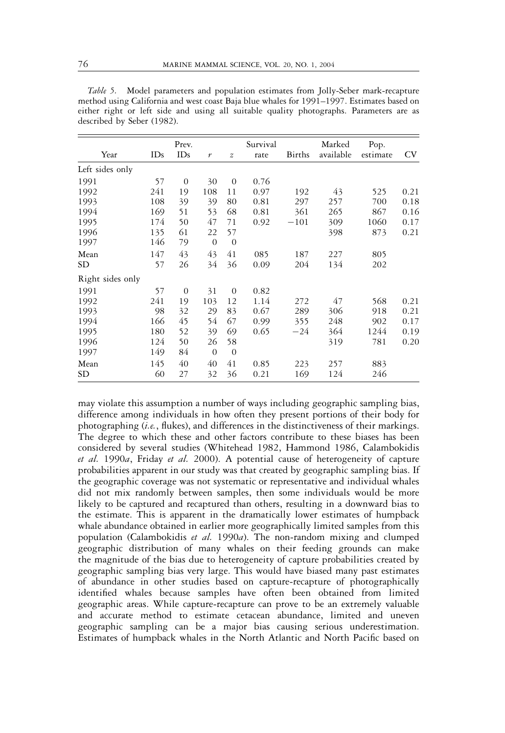Table 5. Model parameters and population estimates from Jolly-Seber mark-recapture method using California and west coast Baja blue whales for 1991–1997. Estimates based on either right or left side and using all suitable quality photographs. Parameters are as described by Seber (1982).

| Year             | IDs | Prev.<br>IDs | r        | $\boldsymbol{z}$ | Survival<br>rate | <b>Births</b> | Marked<br>available | Pop.<br>estimate | CV   |
|------------------|-----|--------------|----------|------------------|------------------|---------------|---------------------|------------------|------|
| Left sides only  |     |              |          |                  |                  |               |                     |                  |      |
| 1991             | 57  | $\theta$     | 30       | $\theta$         | 0.76             |               |                     |                  |      |
| 1992             | 241 | 19           | 108      | 11               | 0.97             | 192           | 43                  | 525              | 0.21 |
| 1993             | 108 | 39           | 39       | 80               | 0.81             | 297           | 257                 | 700              | 0.18 |
| 1994             | 169 | 51           | 53       | 68               | 0.81             | 361           | 265                 | 867              | 0.16 |
| 1995             | 174 | 50           | 47       | 71               | 0.92             | $-101$        | 309                 | 1060             | 0.17 |
| 1996             | 135 | 61           | 22       | 57               |                  |               | 398                 | 873              | 0.21 |
| 1997             | 146 | 79           | $\theta$ | $\theta$         |                  |               |                     |                  |      |
| Mean             | 147 | 43           | 43       | 41               | 085              | 187           | 227                 | 805              |      |
| SD               | 57  | 26           | 34       | 36               | 0.09             | 204           | 134                 | 202              |      |
| Right sides only |     |              |          |                  |                  |               |                     |                  |      |
| 1991             | 57  | $\theta$     | 31       | $\theta$         | 0.82             |               |                     |                  |      |
| 1992             | 241 | 19           | 103      | 12               | 1.14             | 272           | 47                  | 568              | 0.21 |
| 1993             | 98  | 32           | 29       | 83               | 0.67             | 289           | 306                 | 918              | 0.21 |
| 1994             | 166 | 45           | 54       | 67               | 0.99             | 355           | 248                 | 902              | 0.17 |
| 1995             | 180 | 52           | 39       | 69               | 0.65             | $-24$         | 364                 | 1244             | 0.19 |
| 1996             | 124 | 50           | 26       | 58               |                  |               | 319                 | 781              | 0.20 |
| 1997             | 149 | 84           | $\theta$ | $\boldsymbol{0}$ |                  |               |                     |                  |      |
| Mean             | 145 | 40           | 40       | 41               | 0.85             | 223           | 257                 | 883              |      |
| SD               | 60  | 27           | 32       | 36               | 0.21             | 169           | 124                 | 246              |      |

may violate this assumption a number of ways including geographic sampling bias, difference among individuals in how often they present portions of their body for photographing (i.e., flukes), and differences in the distinctiveness of their markings. The degree to which these and other factors contribute to these biases has been considered by several studies (Whitehead 1982, Hammond 1986, Calambokidis et al. 1990a, Friday et al. 2000). A potential cause of heterogeneity of capture probabilities apparent in our study was that created by geographic sampling bias. If the geographic coverage was not systematic or representative and individual whales did not mix randomly between samples, then some individuals would be more likely to be captured and recaptured than others, resulting in a downward bias to the estimate. This is apparent in the dramatically lower estimates of humpback whale abundance obtained in earlier more geographically limited samples from this population (Calambokidis et al. 1990a). The non-random mixing and clumped geographic distribution of many whales on their feeding grounds can make the magnitude of the bias due to heterogeneity of capture probabilities created by geographic sampling bias very large. This would have biased many past estimates of abundance in other studies based on capture-recapture of photographically identified whales because samples have often been obtained from limited geographic areas. While capture-recapture can prove to be an extremely valuable and accurate method to estimate cetacean abundance, limited and uneven geographic sampling can be a major bias causing serious underestimation. Estimates of humpback whales in the North Atlantic and North Pacific based on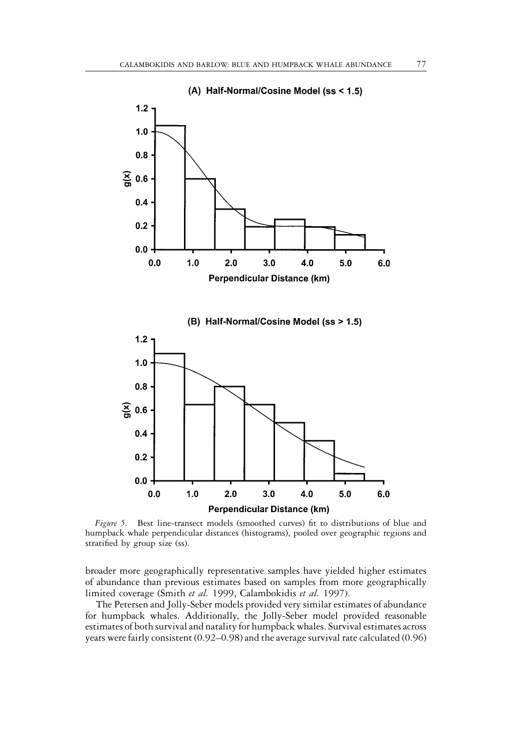

Figure 5. Best line-transect models (smoothed curves) fit to distributions of blue and humpback whale perpendicular distances (histograms), pooled over geographic regions and stratified by group size (ss).

broader more geographically representative samples have yielded higher estimates of abundance than previous estimates based on samples from more geographically limited coverage (Smith et al. 1999, Calambokidis et al. 1997).

The Petersen and Jolly-Seber models provided very similar estimates of abundance for humpback whales. Additionally, the Jolly-Seber model provided reasonable estimates of both survival and natality for humpback whales. Survival estimates across years were fairly consistent (0.92–0.98) and the average survival rate calculated (0.96)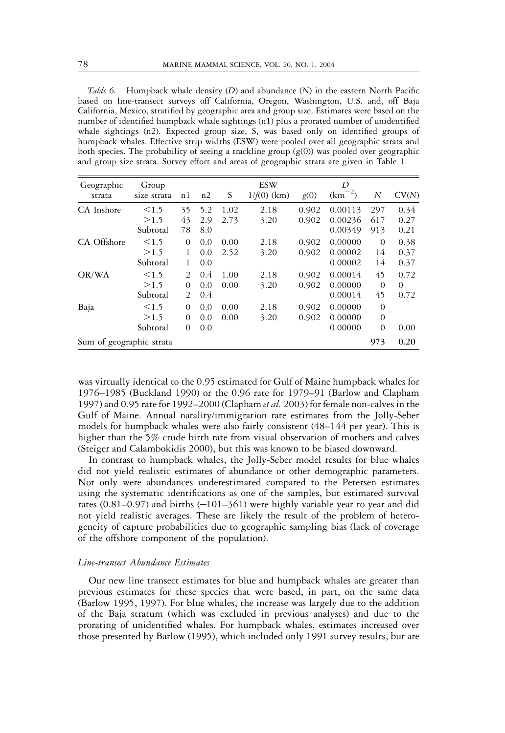Table 6. Humpback whale density (D) and abundance (N) in the eastern North Pacific based on line-transect surveys off California, Oregon, Washington, U.S. and, off Baja California, Mexico, stratified by geographic area and group size. Estimates were based on the number of identified humpback whale sightings (n1) plus a prorated number of unidentified whale sightings (n2). Expected group size, S, was based only on identified groups of humpback whales. Effective strip widths (ESW) were pooled over all geographic strata and both species. The probability of seeing a trackline group  $(g(0))$  was pooled over geographic and group size strata. Survey effort and areas of geographic strata are given in Table 1.

| Geographic               | Group       |                |     |      | <b>ESW</b>    |       | D           |          |          |
|--------------------------|-------------|----------------|-----|------|---------------|-------|-------------|----------|----------|
| strata                   | size strata | n1             | n2  | S    | $1/f(0)$ (km) | g(0)  | $(km^{-2})$ | N        | CV(N)    |
| CA Inshore               | <1.5        | 35             | 5.2 | 1.02 | 2.18          | 0.902 | 0.00113     | 297      | 0.34     |
|                          | >1.5        | 43             | 2.9 | 2.73 | 3.20          | 0.902 | 0.00236     | 617      | 0.27     |
|                          | Subtotal    | 78             | 8.0 |      |               |       | 0.00349     | 913      | 0.21     |
| CA Offshore              | <1.5        | $\Omega$       | 0.0 | 0.00 | 2.18          | 0.902 | 0.00000     | $\Omega$ | 0.38     |
|                          | >1.5        | 1              | 0.0 | 2.52 | 3.20          | 0.902 | 0.00002     | 14       | 0.37     |
|                          | Subtotal    | 1              | 0.0 |      |               |       | 0.00002     | 14       | 0.37     |
| OR/WA                    | <1.5        | $\overline{2}$ | 0.4 | 1.00 | 2.18          | 0.902 | 0.00014     | 45       | 0.72     |
|                          | >1.5        | 0              | 0.0 | 0.00 | 3.20          | 0.902 | 0.00000     | $\Omega$ | $\Omega$ |
|                          | Subtotal    | $\mathfrak{D}$ | 0.4 |      |               |       | 0.00014     | 45       | 0.72     |
| Baja                     | <1.5        | $\theta$       | 0.0 | 0.00 | 2.18          | 0.902 | 0.00000     | $\Omega$ |          |
|                          | >1.5        | $\Omega$       | 0.0 | 0.00 | 3.20          | 0.902 | 0.00000     | $\theta$ |          |
|                          | Subtotal    | $\theta$       | 0.0 |      |               |       | 0.00000     | $\Omega$ | 0.00     |
| Sum of geographic strata |             |                |     |      |               |       |             | 973      | 0.20     |

was virtually identical to the 0.95 estimated for Gulf of Maine humpback whales for 1976–1985 (Buckland 1990) or the 0.96 rate for 1979–91 (Barlow and Clapham 1997) and 0.95 rate for 1992–2000 (Clapham et al. 2003) for female non-calves in the Gulf of Maine. Annual natality/immigration rate estimates from the Jolly-Seber models for humpback whales were also fairly consistent (48–144 per year). This is higher than the 5% crude birth rate from visual observation of mothers and calves (Steiger and Calambokidis 2000), but this was known to be biased downward.

In contrast to humpback whales, the Jolly-Seber model results for blue whales did not yield realistic estimates of abundance or other demographic parameters. Not only were abundances underestimated compared to the Petersen estimates using the systematic identifications as one of the samples, but estimated survival rates  $(0.81-0.97)$  and births  $(-101-361)$  were highly variable year to year and did not yield realistic averages. These are likely the result of the problem of heterogeneity of capture probabilities due to geographic sampling bias (lack of coverage of the offshore component of the population).

# Line-transect Abundance Estimates

Our new line transect estimates for blue and humpback whales are greater than previous estimates for these species that were based, in part, on the same data (Barlow 1995, 1997). For blue whales, the increase was largely due to the addition of the Baja stratum (which was excluded in previous analyses) and due to the prorating of unidentified whales. For humpback whales, estimates increased over those presented by Barlow (1995), which included only 1991 survey results, but are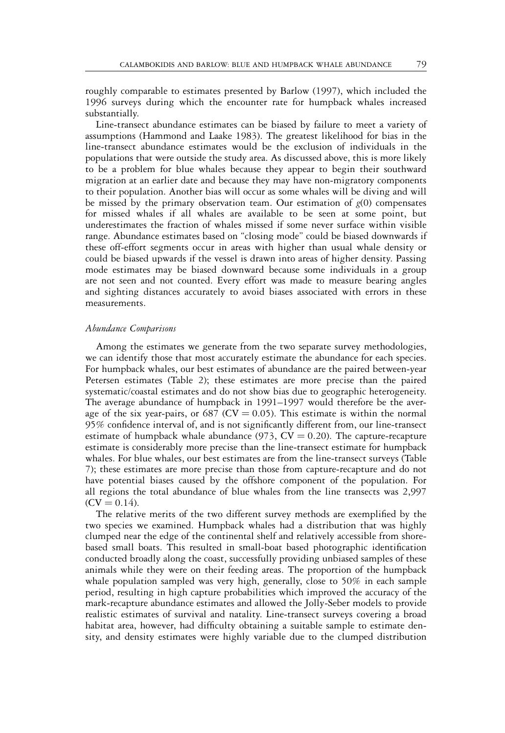roughly comparable to estimates presented by Barlow (1997), which included the 1996 surveys during which the encounter rate for humpback whales increased substantially.

Line-transect abundance estimates can be biased by failure to meet a variety of assumptions (Hammond and Laake 1983). The greatest likelihood for bias in the line-transect abundance estimates would be the exclusion of individuals in the populations that were outside the study area. As discussed above, this is more likely to be a problem for blue whales because they appear to begin their southward migration at an earlier date and because they may have non-migratory components to their population. Another bias will occur as some whales will be diving and will be missed by the primary observation team. Our estimation of  $g(0)$  compensates for missed whales if all whales are available to be seen at some point, but underestimates the fraction of whales missed if some never surface within visible range. Abundance estimates based on ''closing mode'' could be biased downwards if these off-effort segments occur in areas with higher than usual whale density or could be biased upwards if the vessel is drawn into areas of higher density. Passing mode estimates may be biased downward because some individuals in a group are not seen and not counted. Every effort was made to measure bearing angles and sighting distances accurately to avoid biases associated with errors in these measurements.

# Abundance Comparisons

Among the estimates we generate from the two separate survey methodologies, we can identify those that most accurately estimate the abundance for each species. For humpback whales, our best estimates of abundance are the paired between-year Petersen estimates (Table 2); these estimates are more precise than the paired systematic/coastal estimates and do not show bias due to geographic heterogeneity. The average abundance of humpback in 1991–1997 would therefore be the average of the six year-pairs, or  $687$  (CV = 0.05). This estimate is within the normal 95% confidence interval of, and is not significantly different from, our line-transect estimate of humpback whale abundance (973,  $CV = 0.20$ ). The capture-recapture estimate is considerably more precise than the line-transect estimate for humpback whales. For blue whales, our best estimates are from the line-transect surveys (Table 7); these estimates are more precise than those from capture-recapture and do not have potential biases caused by the offshore component of the population. For all regions the total abundance of blue whales from the line transects was 2,997  $(CV = 0.14)$ .

The relative merits of the two different survey methods are exemplified by the two species we examined. Humpback whales had a distribution that was highly clumped near the edge of the continental shelf and relatively accessible from shorebased small boats. This resulted in small-boat based photographic identification conducted broadly along the coast, successfully providing unbiased samples of these animals while they were on their feeding areas. The proportion of the humpback whale population sampled was very high, generally, close to 50% in each sample period, resulting in high capture probabilities which improved the accuracy of the mark-recapture abundance estimates and allowed the Jolly-Seber models to provide realistic estimates of survival and natality. Line-transect surveys covering a broad habitat area, however, had difficulty obtaining a suitable sample to estimate density, and density estimates were highly variable due to the clumped distribution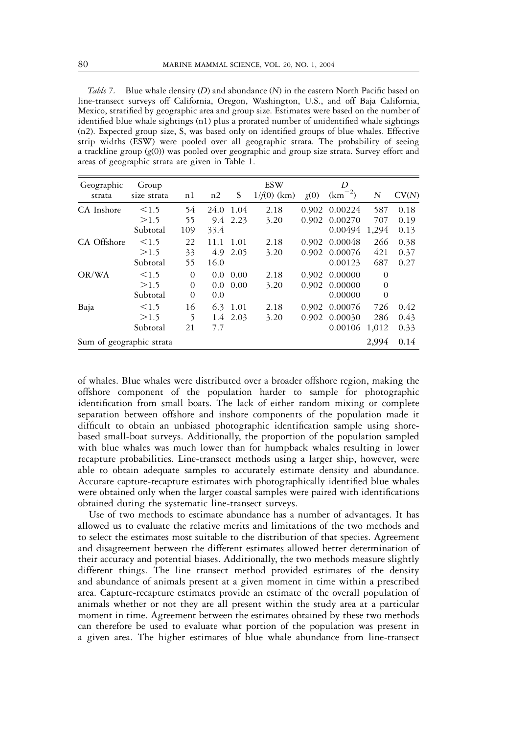Table 7. Blue whale density  $(D)$  and abundance  $(N)$  in the eastern North Pacific based on line-transect surveys off California, Oregon, Washington, U.S., and off Baja California, Mexico, stratified by geographic area and group size. Estimates were based on the number of identified blue whale sightings (n1) plus a prorated number of unidentified whale sightings (n2). Expected group size, S, was based only on identified groups of blue whales. Effective strip widths (ESW) were pooled over all geographic strata. The probability of seeing a trackline group (g(0)) was pooled over geographic and group size strata. Survey effort and areas of geographic strata are given in Table 1.

| Geographic<br>strata     | Group<br>size strata | n1       | n2            | S        | <b>ESW</b><br>$1/f(0)$ (km) | g(0)  | D<br>$(km^{-2})$ | N        | CV(N) |
|--------------------------|----------------------|----------|---------------|----------|-----------------------------|-------|------------------|----------|-------|
|                          |                      |          |               |          |                             |       |                  |          |       |
| CA Inshore               | <1.5                 | 54       | 24.0          | 1.04     | 2.18                        | 0.902 | 0.00224          | 587      | 0.18  |
|                          | >1.5                 | 55       |               | 9.4 2.23 | 3.20                        | 0.902 | 0.00270          | 707      | 0.19  |
|                          | Subtotal             | 109      | 33.4          |          |                             |       | 0.00494          | 1,294    | 0.13  |
| CA Offshore              | <1.5                 | 22       | 11.1          | 1.01     | 2.18                        | 0.902 | 0.00048          | 266      | 0.38  |
|                          | >1.5                 | 33       | 4.9           | 2.05     | 3.20                        | 0.902 | 0.00076          | 421      | 0.37  |
|                          | Subtotal             | 55       | 16.0          |          |                             |       | 0.00123          | 687      | 0.27  |
| OR/WA                    | <1.5                 | $\theta$ | $0.0^{\circ}$ | 0.00     | 2.18                        | 0.902 | 0.00000          | $\Omega$ |       |
|                          | >1.5                 | $\Omega$ | 0.0           | 0.00     | 3.20                        | 0.902 | 0.00000          | $\Omega$ |       |
|                          | Subtotal             | $\Omega$ | 0.0           |          |                             |       | 0.00000          | $\Omega$ |       |
| Baja                     | <1.5                 | 16       | 6.3           | 1.01     | 2.18                        | 0.902 | 0.00076          | 726      | 0.42  |
|                          | >1.5                 | 5        |               | 1.4 2.03 | 3.20                        | 0.902 | 0.00030          | 286      | 0.43  |
|                          | Subtotal             | 21       | 7.7           |          |                             |       | 0.00106          | 1,012    | 0.33  |
| Sum of geographic strata |                      |          |               |          |                             |       |                  | 2,994    | 0.14  |

of whales. Blue whales were distributed over a broader offshore region, making the offshore component of the population harder to sample for photographic identification from small boats. The lack of either random mixing or complete separation between offshore and inshore components of the population made it difficult to obtain an unbiased photographic identification sample using shorebased small-boat surveys. Additionally, the proportion of the population sampled with blue whales was much lower than for humpback whales resulting in lower recapture probabilities. Line-transect methods using a larger ship, however, were able to obtain adequate samples to accurately estimate density and abundance. Accurate capture-recapture estimates with photographically identified blue whales were obtained only when the larger coastal samples were paired with identifications obtained during the systematic line-transect surveys.

Use of two methods to estimate abundance has a number of advantages. It has allowed us to evaluate the relative merits and limitations of the two methods and to select the estimates most suitable to the distribution of that species. Agreement and disagreement between the different estimates allowed better determination of their accuracy and potential biases. Additionally, the two methods measure slightly different things. The line transect method provided estimates of the density and abundance of animals present at a given moment in time within a prescribed area. Capture-recapture estimates provide an estimate of the overall population of animals whether or not they are all present within the study area at a particular moment in time. Agreement between the estimates obtained by these two methods can therefore be used to evaluate what portion of the population was present in a given area. The higher estimates of blue whale abundance from line-transect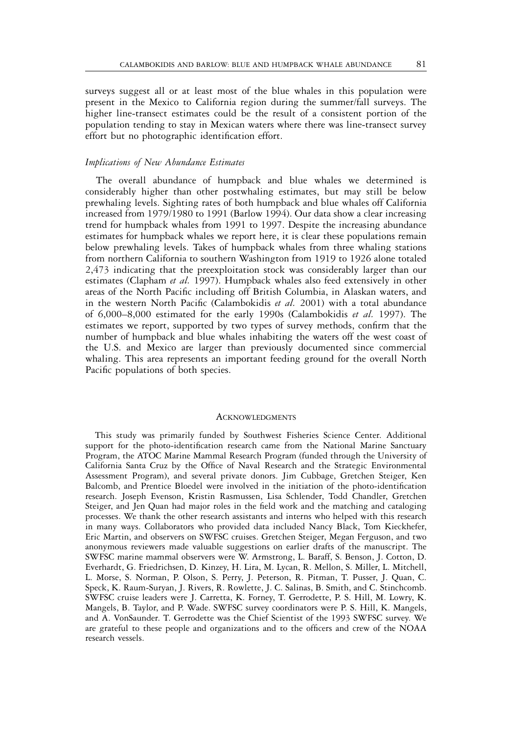surveys suggest all or at least most of the blue whales in this population were present in the Mexico to California region during the summer/fall surveys. The higher line-transect estimates could be the result of a consistent portion of the population tending to stay in Mexican waters where there was line-transect survey effort but no photographic identification effort.

# Implications of New Abundance Estimates

The overall abundance of humpback and blue whales we determined is considerably higher than other postwhaling estimates, but may still be below prewhaling levels. Sighting rates of both humpback and blue whales off California increased from 1979/1980 to 1991 (Barlow 1994). Our data show a clear increasing trend for humpback whales from 1991 to 1997. Despite the increasing abundance estimates for humpback whales we report here, it is clear these populations remain below prewhaling levels. Takes of humpback whales from three whaling stations from northern California to southern Washington from 1919 to 1926 alone totaled 2,473 indicating that the preexploitation stock was considerably larger than our estimates (Clapham *et al.* 1997). Humpback whales also feed extensively in other areas of the North Pacific including off British Columbia, in Alaskan waters, and in the western North Pacific (Calambokidis et al. 2001) with a total abundance of 6,000–8,000 estimated for the early 1990s (Calambokidis et al. 1997). The estimates we report, supported by two types of survey methods, confirm that the number of humpback and blue whales inhabiting the waters off the west coast of the U.S. and Mexico are larger than previously documented since commercial whaling. This area represents an important feeding ground for the overall North Pacific populations of both species.

#### **ACKNOWLEDGMENTS**

This study was primarily funded by Southwest Fisheries Science Center. Additional support for the photo-identification research came from the National Marine Sanctuary Program, the ATOC Marine Mammal Research Program (funded through the University of California Santa Cruz by the Office of Naval Research and the Strategic Environmental Assessment Program), and several private donors. Jim Cubbage, Gretchen Steiger, Ken Balcomb, and Prentice Bloedel were involved in the initiation of the photo-identification research. Joseph Evenson, Kristin Rasmussen, Lisa Schlender, Todd Chandler, Gretchen Steiger, and Jen Quan had major roles in the field work and the matching and cataloging processes. We thank the other research assistants and interns who helped with this research in many ways. Collaborators who provided data included Nancy Black, Tom Kieckhefer, Eric Martin, and observers on SWFSC cruises. Gretchen Steiger, Megan Ferguson, and two anonymous reviewers made valuable suggestions on earlier drafts of the manuscript. The SWFSC marine mammal observers were W. Armstrong, L. Baraff, S. Benson, J. Cotton, D. Everhardt, G. Friedrichsen, D. Kinzey, H. Lira, M. Lycan, R. Mellon, S. Miller, L. Mitchell, L. Morse, S. Norman, P. Olson, S. Perry, J. Peterson, R. Pitman, T. Pusser, J. Quan, C. Speck, K. Raum-Suryan, J. Rivers, R. Rowlette, J. C. Salinas, B. Smith, and C. Stinchcomb. SWFSC cruise leaders were J. Carretta, K. Forney, T. Gerrodette, P. S. Hill, M. Lowry, K. Mangels, B. Taylor, and P. Wade. SWFSC survey coordinators were P. S. Hill, K. Mangels, and A. VonSaunder. T. Gerrodette was the Chief Scientist of the 1993 SWFSC survey. We are grateful to these people and organizations and to the officers and crew of the NOAA research vessels.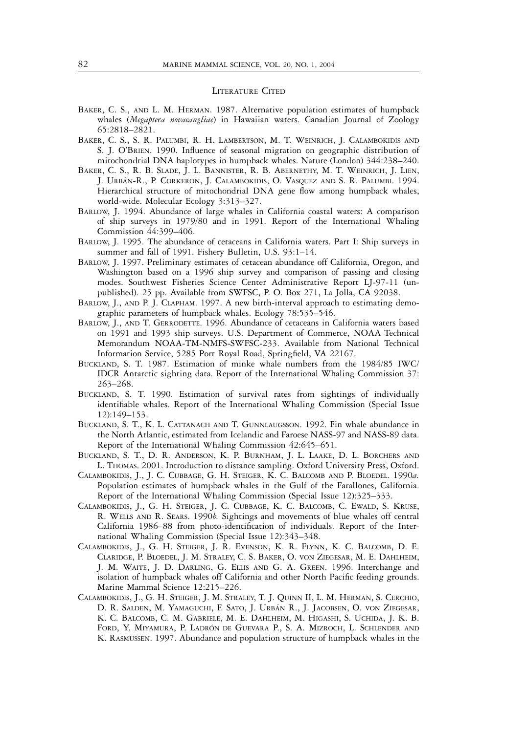## LITERATURE CITED

- BAKER, C. S., AND L. M. HERMAN. 1987. Alternative population estimates of humpback whales (Megaptera novaeangliae) in Hawaiian waters. Canadian Journal of Zoology 65:2818–2821.
- BAKER, C. S., S. R. PALUMBI, R. H. LAMBERTSON, M. T. WEINRICH, J. CALAMBOKIDIS AND S. J. O'BRIEN. 1990. Influence of seasonal migration on geographic distribution of mitochondrial DNA haplotypes in humpback whales. Nature (London) 344:238–240.
- BAKER, C. S., R. B. SLADE, J. L. BANNISTER, R. B. ABERNETHY, M. T. WEINRICH, J. LIEN, J. URBÁN-R., P. CORKERON, J. CALAMBOKIDIS, O. VASQUEZ AND S. R. PALUMBI. 1994. Hierarchical structure of mitochondrial DNA gene flow among humpback whales, world-wide. Molecular Ecology 3:313–327.
- BARLOW, J. 1994. Abundance of large whales in California coastal waters: A comparison of ship surveys in 1979/80 and in 1991. Report of the International Whaling Commission 44:399–406.
- BARLOW, J. 1995. The abundance of cetaceans in California waters. Part I: Ship surveys in summer and fall of 1991. Fishery Bulletin, U.S. 93:1–14.
- BARLOW, J. 1997. Preliminary estimates of cetacean abundance off California, Oregon, and Washington based on a 1996 ship survey and comparison of passing and closing modes. Southwest Fisheries Science Center Administrative Report LJ-97-11 (unpublished). 25 pp. Available from SWFSC, P. O. Box 271, La Jolla, CA 92038.
- BARLOW, J., AND P. J. CLAPHAM. 1997. A new birth-interval approach to estimating demographic parameters of humpback whales. Ecology 78:535–546.
- BARLOW, J., AND T. GERRODETTE. 1996. Abundance of cetaceans in California waters based on 1991 and 1993 ship surveys. U.S. Department of Commerce, NOAA Technical Memorandum NOAA-TM-NMFS-SWFSC-233. Available from National Technical Information Service, 5285 Port Royal Road, Springfield, VA 22167.
- BUCKLAND, S. T. 1987. Estimation of minke whale numbers from the 1984/85 IWC/ IDCR Antarctic sighting data. Report of the International Whaling Commission 37: 263–268.
- BUCKLAND, S. T. 1990. Estimation of survival rates from sightings of individually identifiable whales. Report of the International Whaling Commission (Special Issue 12):149–153.
- BUCKLAND, S. T., K. L. CATTANACH AND T. GUNNLAUGSSON. 1992. Fin whale abundance in the North Atlantic, estimated from Icelandic and Faroese NASS-97 and NASS-89 data. Report of the International Whaling Commission 42:645–651.
- BUCKLAND, S. T., D. R. ANDERSON, K. P. BURNHAM, J. L. LAAKE, D. L. BORCHERS AND L. THOMAS. 2001. Introduction to distance sampling. Oxford University Press, Oxford.
- CALAMBOKIDIS, J., J. C. CUBBAGE, G. H. STEIGER, K. C. BALCOMB AND P. BLOEDEL. 1990a. Population estimates of humpback whales in the Gulf of the Farallones, California. Report of the International Whaling Commission (Special Issue 12):325–333.
- CALAMBOKIDIS, J., G. H. STEIGER, J. C. CUBBAGE, K. C. BALCOMB, C. EWALD, S. KRUSE, R. WELLS AND R. SEARS. 1990b. Sightings and movements of blue whales off central California 1986–88 from photo-identification of individuals. Report of the International Whaling Commission (Special Issue 12):343–348.
- CALAMBOKIDIS, J., G. H. STEIGER, J. R. EVENSON, K. R. FLYNN, K. C. BALCOMB, D. E. CLARIDGE, P. BLOEDEL, J. M. STRALEY, C. S. BAKER, O. VON ZIEGESAR, M. E. DAHLHEIM, J. M. WAITE, J. D. DARLING, G. ELLIS AND G. A. GREEN. 1996. Interchange and isolation of humpback whales off California and other North Pacific feeding grounds. Marine Mammal Science 12:215–226.
- CALAMBOKIDIS, J., G. H. STEIGER, J. M. STRALEY, T. J. QUINN II, L. M. HERMAN, S. CERCHIO, D. R. SALDEN, M. YAMAGUCHI, F. SATO, J. URBÁN R., J. JACOBSEN, O. VON ZIEGESAR, K. C. BALCOMB, C. M. GABRIELE, M. E. DAHLHEIM, M. HIGASHI, S. UCHIDA, J. K. B. FORD, Y. MIYAMURA, P. LADRÓN DE GUEVARA P., S. A. MIZROCH, L. SCHLENDER AND K. RASMUSSEN. 1997. Abundance and population structure of humpback whales in the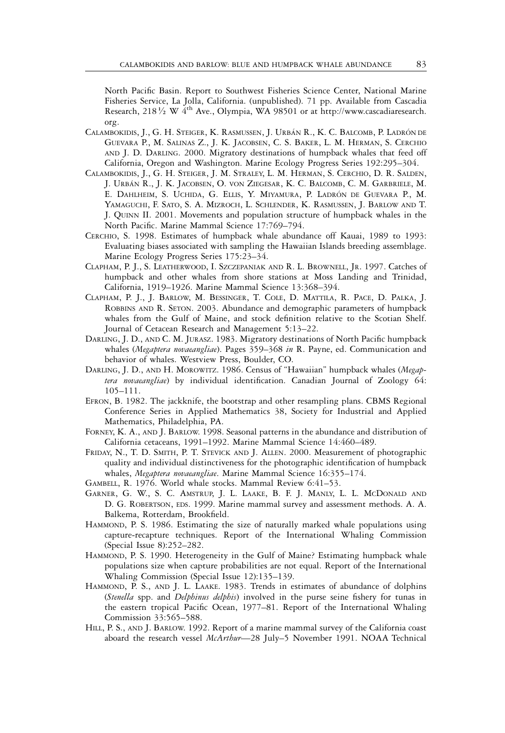North Pacific Basin. Report to Southwest Fisheries Science Center, National Marine Fisheries Service, La Jolla, California. (unpublished). 71 pp. Available from Cascadia Research, 2181/2 W 4<sup>th</sup> Ave., Olympia, WA 98501 or at http://www.cascadiaresearch. org.

- CALAMBOKIDIS, J., G. H. STEIGER, K. RASMUSSEN, J. URBÁN R., K. C. BALCOMB, P. LADRÓN DE GUEVARA P., M. SALINAS Z., J. K. JACOBSEN, C. S. BAKER, L. M. HERMAN, S. CERCHIO AND J. D. DARLING. 2000. Migratory destinations of humpback whales that feed off California, Oregon and Washington. Marine Ecology Progress Series 192:295–304.
- CALAMBOKIDIS, J., G. H. STEIGER, J. M. STRALEY, L. M. HERMAN, S. CERCHIO, D. R. SALDEN, J. URBÁN R., J. K. JACOBSEN, O. VON ZIEGESAR, K. C. BALCOMB, C. M. GARBRIELE, M. E. DAHLHEIM, S. UCHIDA, G. ELLIS, Y. MIYAMURA, P. LADRÓN DE GUEVARA P., M. YAMAGUCHI, F. SATO, S. A. MIZROCH, L. SCHLENDER, K. RASMUSSEN, J. BARLOW AND T. J. QUINN II. 2001. Movements and population structure of humpback whales in the North Pacific. Marine Mammal Science 17:769–794.
- CERCHIO, S. 1998. Estimates of humpback whale abundance off Kauai, 1989 to 1993: Evaluating biases associated with sampling the Hawaiian Islands breeding assemblage. Marine Ecology Progress Series 175:23–34.
- CLAPHAM, P. J., S. LEATHERWOOD, I. SZCZEPANIAK AND R. L. BROWNELL, JR. 1997. Catches of humpback and other whales from shore stations at Moss Landing and Trinidad, California, 1919–1926. Marine Mammal Science 13:368–394.
- CLAPHAM, P. J., J. BARLOW, M. BESSINGER, T. COLE, D. MATTILA, R. PACE, D. PALKA, J. ROBBINS AND R. SETON. 2003. Abundance and demographic parameters of humpback whales from the Gulf of Maine, and stock definition relative to the Scotian Shelf. Journal of Cetacean Research and Management 5:13–22.
- DARLING, J. D., AND C. M. JURASZ. 1983. Migratory destinations of North Pacific humpback whales (Megaptera novaeangliae). Pages 359–368 in R. Payne, ed. Communication and behavior of whales. Westview Press, Boulder, CO.
- DARLING, J. D., AND H. MOROWITZ. 1986. Census of "Hawaiian" humpback whales (Megaptera novaeangliae) by individual identification. Canadian Journal of Zoology 64: 105–111.
- EFRON, B. 1982. The jackknife, the bootstrap and other resampling plans. CBMS Regional Conference Series in Applied Mathematics 38, Society for Industrial and Applied Mathematics, Philadelphia, PA.
- FORNEY, K. A., AND J. BARLOW. 1998. Seasonal patterns in the abundance and distribution of California cetaceans, 1991–1992. Marine Mammal Science 14:460–489.
- FRIDAY, N., T. D. SMITH, P. T. STEVICK AND J. ALLEN. 2000. Measurement of photographic quality and individual distinctiveness for the photographic identification of humpback whales, Megaptera novaeangliae. Marine Mammal Science 16:355-174.
- GAMBELL, R. 1976. World whale stocks. Mammal Review 6:41–53.
- GARNER, G. W., S. C. AMSTRUP, J. L. LAAKE, B. F. J. MANLY, L. L. MCDONALD AND D. G. ROBERTSON, EDS. 1999. Marine mammal survey and assessment methods. A. A. Balkema, Rotterdam, Brookfield.
- HAMMOND, P. S. 1986. Estimating the size of naturally marked whale populations using capture-recapture techniques. Report of the International Whaling Commission (Special Issue 8):252–282.
- HAMMOND, P. S. 1990. Heterogeneity in the Gulf of Maine? Estimating humpback whale populations size when capture probabilities are not equal. Report of the International Whaling Commission (Special Issue 12):135–139.
- HAMMOND, P. S., AND J. L. LAAKE. 1983. Trends in estimates of abundance of dolphins (Stenella spp. and Delphinus delphis) involved in the purse seine fishery for tunas in the eastern tropical Pacific Ocean, 1977–81. Report of the International Whaling Commission 33:565–588.
- HILL, P. S., AND J. BARLOW. 1992. Report of a marine mammal survey of the California coast aboard the research vessel McArthur-28 July-5 November 1991. NOAA Technical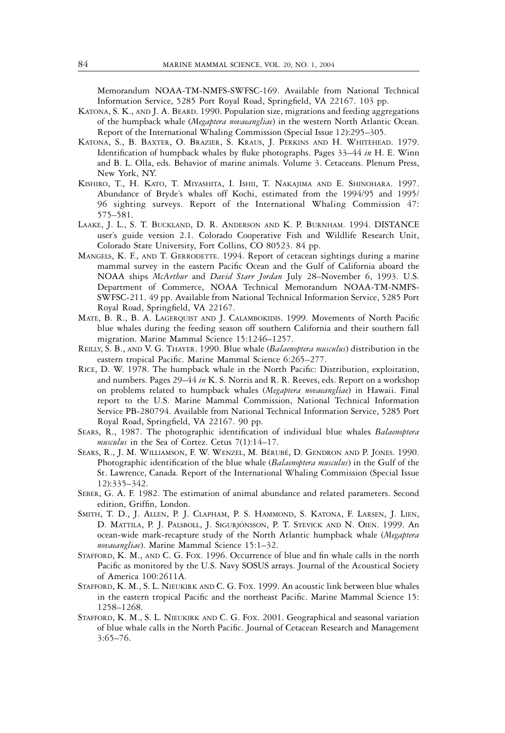Memorandum NOAA-TM-NMFS-SWFSC-169. Available from National Technical Information Service, 5285 Port Royal Road, Springfield, VA 22167. 103 pp.

- KATONA, S. K., AND J. A. BEARD. 1990. Population size, migrations and feeding aggregations of the humpback whale (Megaptera novaeangliae) in the western North Atlantic Ocean. Report of the International Whaling Commission (Special Issue 12):295–305.
- KATONA, S., B. BAXTER, O. BRAZIER, S. KRAUS, J. PERKINS AND H. WHITEHEAD. 1979. Identification of humpback whales by fluke photographs. Pages 33–44 in H. E. Winn and B. L. Olla, eds. Behavior of marine animals. Volume 3. Cetaceans. Plenum Press, New York, NY.
- KISHIRO, T., H. KATO, T. MIYASHITA, I. ISHII, T. NAKAJIMA AND E. SHINOHARA. 1997. Abundance of Bryde's whales off Kochi, estimated from the 1994/95 and 1995/ 96 sighting surveys. Report of the International Whaling Commission 47: 575–581.
- LAAKE, J. L., S. T. BUCKLAND, D. R. ANDERSON AND K. P. BURNHAM. 1994. DISTANCE user's guide version 2.1. Colorado Cooperative Fish and Wildlife Research Unit, Colorado State University, Fort Collins, CO 80523. 84 pp.
- MANGELS, K. F., AND T. GERRODETTE. 1994. Report of cetacean sightings during a marine mammal survey in the eastern Pacific Ocean and the Gulf of California aboard the NOAA ships McArthur and David Starr Jordan July 28–November 6, 1993. U.S. Department of Commerce, NOAA Technical Memorandum NOAA-TM-NMFS-SWFSC-211. 49 pp. Available from National Technical Information Service, 5285 Port Royal Road, Springfield, VA 22167.
- MATE, B. R., B. A. LAGERQUIST AND J. CALAMBOKIDIS. 1999. Movements of North Pacific blue whales during the feeding season off southern California and their southern fall migration. Marine Mammal Science 15:1246–1257.
- REILLY, S. B., AND V. G. THAYER. 1990. Blue whale (Balaenoptera musculus) distribution in the eastern tropical Pacific. Marine Mammal Science 6:265–277.
- RICE, D. W. 1978. The humpback whale in the North Pacific: Distribution, exploitation, and numbers. Pages 29–44 in K. S. Norris and R. R. Reeves, eds. Report on a workshop on problems related to humpback whales (Megaptera novaeangliae) in Hawaii. Final report to the U.S. Marine Mammal Commission, National Technical Information Service PB-280794. Available from National Technical Information Service, 5285 Port Royal Road, Springfield, VA 22167. 90 pp.
- SEARS, R., 1987. The photographic identification of individual blue whales Balaenoptera musculus in the Sea of Cortez. Cetus 7(1):14-17.
- SEARS, R., J. M. WILLIAMSON, F. W. WENZEL, M. BÉRUBÉ, D. GENDRON AND P. JONES. 1990. Photographic identification of the blue whale (Balaenoptera musculus) in the Gulf of the St. Lawrence, Canada. Report of the International Whaling Commission (Special Issue 12):335–342.
- SEBER, G. A. F. 1982. The estimation of animal abundance and related parameters. Second edition, Griffin, London.
- SMITH, T. D., J. ALLEN, P. J. CLAPHAM, P. S. HAMMOND, S. KATONA, F. LARSEN, J. LIEN, D. MATTILA, P. J. PALSBOLL, J. SIGURJÓNSSON, P. T. STEVICK AND N. OIEN. 1999. An ocean-wide mark-recapture study of the North Atlantic humpback whale (Megaptera novaeangliae). Marine Mammal Science 15:1–32.
- STAFFORD, K. M., AND C. G. FOX. 1996. Occurrence of blue and fin whale calls in the north Pacific as monitored by the U.S. Navy SOSUS arrays. Journal of the Acoustical Society of America 100:2611A.
- STAFFORD, K. M., S. L. NIEUKIRK AND C. G. FOX. 1999. An acoustic link between blue whales in the eastern tropical Pacific and the northeast Pacific. Marine Mammal Science 15: 1258–1268.
- STAFFORD, K. M., S. L. NIEUKIRK AND C. G. FOX. 2001. Geographical and seasonal variation of blue whale calls in the North Pacific. Journal of Cetacean Research and Management 3:65–76.